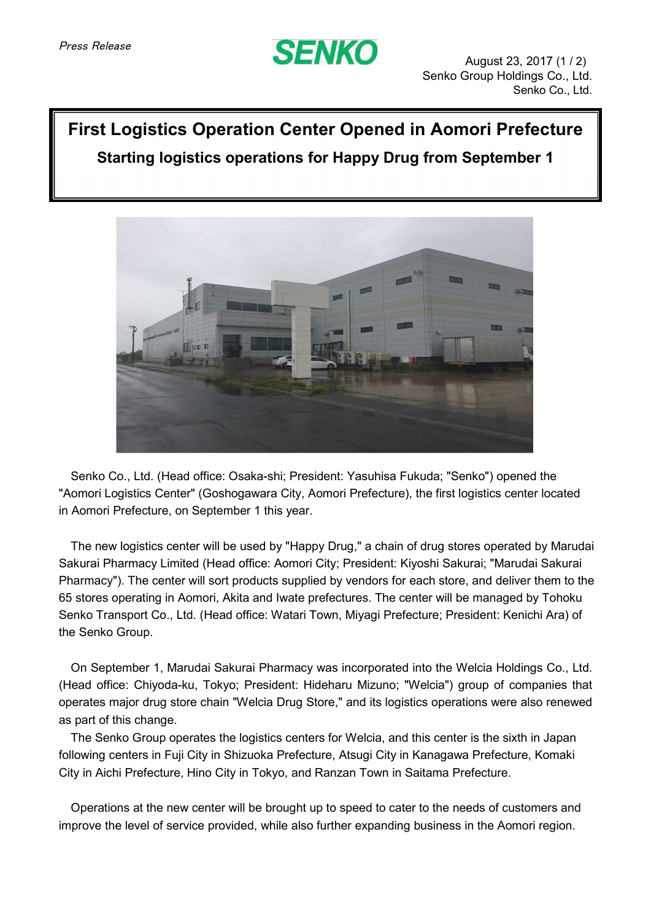

## **First Logistics Operation Center Opened in Aomori Prefecture Starting logistics operations for Happy Drug from September 1**



Senko Co., Ltd. (Head office: Osaka-shi; President: Yasuhisa Fukuda; "Senko") opened the "Aomori Logistics Center" (Goshogawara City, Aomori Prefecture), the first logistics center located in Aomori Prefecture, on September 1 this year.

The new logistics center will be used by "Happy Drug," a chain of drug stores operated by Marudai Sakurai Pharmacy Limited (Head office: Aomori City; President: Kiyoshi Sakurai; "Marudai Sakurai Pharmacy"). The center will sort products supplied by vendors for each store, and deliver them to the 65 stores operating in Aomori, Akita and Iwate prefectures. The center will be managed by Tohoku Senko Transport Co., Ltd. (Head office: Watari Town, Miyagi Prefecture; President: Kenichi Ara) of the Senko Group.

On September 1, Marudai Sakurai Pharmacy was incorporated into the Welcia Holdings Co., Ltd. (Head office: Chiyoda-ku, Tokyo; President: Hideharu Mizuno; "Welcia") group of companies that operates major drug store chain "Welcia Drug Store," and its logistics operations were also renewed as part of this change.

The Senko Group operates the logistics centers for Welcia, and this center is the sixth in Japan following centers in Fuji City in Shizuoka Prefecture, Atsugi City in Kanagawa Prefecture, Komaki City in Aichi Prefecture, Hino City in Tokyo, and Ranzan Town in Saitama Prefecture.

Operations at the new center will be brought up to speed to cater to the needs of customers and improve the level of service provided, while also further expanding business in the Aomori region.